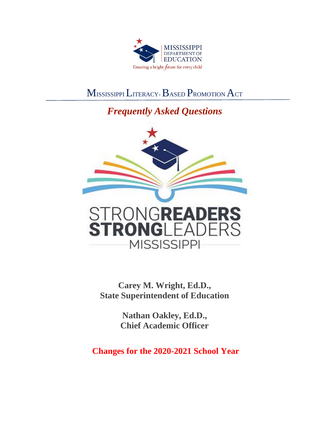

# MISSISSIPPI LITERACY-BASED PROMOTION ACT

## *Frequently Asked Questions*



**Carey M. Wright, Ed.D., State Superintendent of Education** 

> **Nathan Oakley, Ed.D., Chief Academic Officer**

**Changes for the 2020-2021 School Year**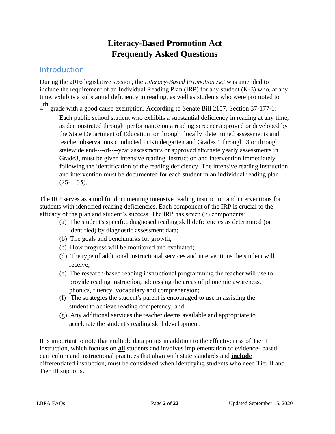## **Literacy-Based Promotion Act Frequently Asked Questions**

#### **Introduction**

During the 2016 legislative session, the *Literacy-Based Promotion Act* was amended to include the requirement of an Individual Reading Plan (IRP) for any student (K-3) who, at any time, exhibits a substantial deficiency in reading, as well as students who were promoted to

 $4<sup>th</sup>$  grade with a good cause exemption. According to Senate Bill 2157, Section 37-177-1:

Each public school student who exhibits a substantial deficiency in reading at any time, as demonstrated through performance on a reading screener approved or developed by the State Department of Education or through locally determined assessments and teacher observations conducted in Kindergarten and Grades 1 through 3 or through statewide end----of----year assessments or approved alternate yearly assessments in Grade3, must be given intensive reading instruction and intervention immediately following the identification of the reading deficiency. The intensive reading instruction and intervention must be documented for each student in an individual reading plan  $(25---35)$ .

The IRP serves as a tool for documenting intensive reading instruction and interventions for students with identified reading deficiencies. Each component of the IRP is crucial to the efficacy of the plan and student's success. The IRP has seven (7) components:

- (a) The student's specific, diagnosed reading skill deficiencies as determined (or identified) by diagnostic assessment data;
- (b) The goals and benchmarks for growth;
- (c) How progress will be monitored and evaluated;
- (d) The type of additional instructional services and interventions the student will receive;
- (e) The research-based reading instructional programming the teacher will use to provide reading instruction, addressing the areas of phonemic awareness, phonics, fluency, vocabulary and comprehension;
- (f) The strategies the student's parent is encouraged to use in assisting the student to achieve reading competency; and
- (g) Any additional services the teacher deems available and appropriate to accelerate the student's reading skill development.

It is important to note that multiple data points in addition to the effectiveness of Tier I instruction, which focuses on **all** students and involves implementation of evidence- based curriculum and instructional practices that align with state standards and **include**  differentiated instruction, must be considered when identifying students who need Tier II and Tier III supports.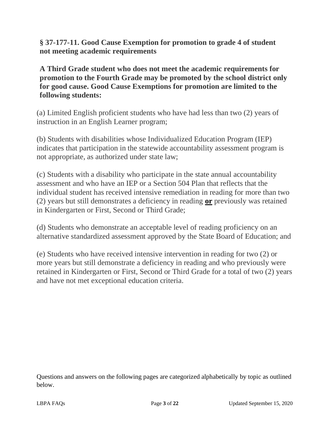**§ 37-177-11. Good Cause Exemption for promotion to grade 4 of student not meeting academic requirements** 

**A Third Grade student who does not meet the academic requirements for promotion to the Fourth Grade may be promoted by the school district only for good cause. Good Cause Exemptions for promotion are limited to the following students:** 

(a) Limited English proficient students who have had less than two (2) years of instruction in an English Learner program;

(b) Students with disabilities whose Individualized Education Program (IEP) indicates that participation in the statewide accountability assessment program is not appropriate, as authorized under state law;

(c) Students with a disability who participate in the state annual accountability assessment and who have an IEP or a Section 504 Plan that reflects that the individual student has received intensive remediation in reading for more than two (2) years but still demonstrates a deficiency in reading **or** previously was retained in Kindergarten or First, Second or Third Grade;

(d) Students who demonstrate an acceptable level of reading proficiency on an alternative standardized assessment approved by the State Board of Education; and

(e) Students who have received intensive intervention in reading for two (2) or more years but still demonstrate a deficiency in reading and who previously were retained in Kindergarten or First, Second or Third Grade for a total of two (2) years and have not met exceptional education criteria.

Questions and answers on the following pages are categorized alphabetically by topic as outlined below.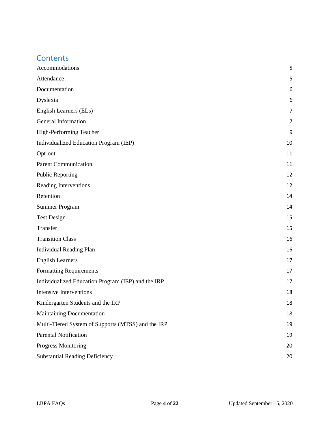#### **Contents**

| Accommodations                                     | 5              |
|----------------------------------------------------|----------------|
| Attendance                                         | 5              |
| Documentation                                      | 6              |
| Dyslexia                                           | 6              |
| English Learners (ELs)                             | $\overline{7}$ |
| General Information                                | $\overline{7}$ |
| High-Performing Teacher                            | 9              |
| Individualized Education Program (IEP)             | 10             |
| Opt-out                                            | 11             |
| <b>Parent Communication</b>                        | 11             |
| <b>Public Reporting</b>                            | 12             |
| <b>Reading Interventions</b>                       | 12             |
| Retention                                          | 14             |
| <b>Summer Program</b>                              | 14             |
| <b>Test Design</b>                                 | 15             |
| Transfer                                           | 15             |
| <b>Transition Class</b>                            | 16             |
| <b>Individual Reading Plan</b>                     | 16             |
| <b>English Learners</b>                            | 17             |
| <b>Formatting Requirements</b>                     | 17             |
| Individualized Education Program (IEP) and the IRP | 17             |
| Intensive Interventions                            | 18             |
| Kindergarten Students and the IRP                  | 18             |
| Maintaining Documentation                          | 18             |
| Multi-Tiered System of Supports (MTSS) and the IRP | 19             |
| <b>Parental Notification</b>                       | 19             |
| <b>Progress Monitoring</b>                         | 20             |
| <b>Substantial Reading Deficiency</b>              | 20             |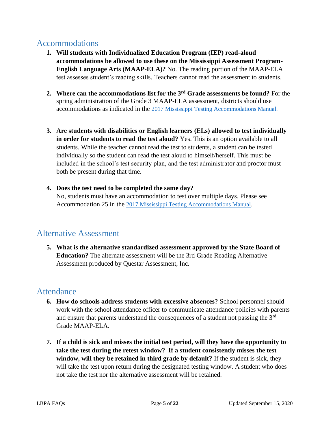#### <span id="page-4-0"></span>Accommodations

- **1. Will students with Individualized Education Program (IEP) read-aloud accommodations be allowed to use these on the Mississippi Assessment Program-English Language Arts (MAAP-ELA)?** No. The reading portion of the MAAP-ELA test assesses student's reading skills. Teachers cannot read the assessment to students.
- **2. Where can the accommodations list for the 3rd Grade assessments be found?** For the spring administration of the Grade 3 MAAP-ELA assessment, districts should use accommodations as indicated in the [2017 Mississippi Testing Accommodations Manual.](https://districtaccess.mde.k12.ms.us/studentassessment/Public%20Access/Special_Populations/Accommodations/Accommodation%20Manual-february%202017.pdf)
- **3. Are students with disabilities or English learners (ELs) allowed to test individually in order for students to read the test aloud?** Yes. This is an option available to all students. While the teacher cannot read the test to students, a student can be tested individually so the student can read the test aloud to himself/herself. This must be included in the school's test security plan, and the test administrator and proctor must both be present during that time.
- **4. Does the test need to be completed the same day?**  No, students must have an accommodation to test over multiple days. Please see Accommodation 25 in the [2017 Mississippi Testing Accommodations Manual.](https://districtaccess.mde.k12.ms.us/studentassessment/Public%20Access/Special_Populations/Accommodations/Accommodation%20Manual-february%202017.pdf)

## Alternative Assessment

**5. What is the alternative standardized assessment approved by the State Board of Education?** The alternate assessment will be the 3rd Grade Reading Alternative Assessment produced by Questar Assessment, Inc.

### <span id="page-4-1"></span>Attendance

- **6. How do schools address students with excessive absences?** School personnel should work with the school attendance officer to communicate attendance policies with parents and ensure that parents understand the consequences of a student not passing the 3rd Grade MAAP-ELA.
- **7. If a child is sick and misses the initial test period, will they have the opportunity to take the test during the retest window? If a student consistently misses the test window, will they be retained in third grade by default?** If the student is sick, they will take the test upon return during the designated testing window. A student who does not take the test nor the alternative assessment will be retained.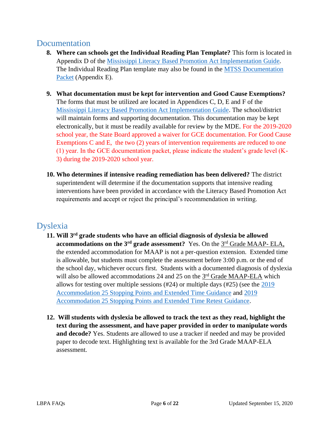#### <span id="page-5-0"></span>Documentation

- **8. Where can schools get the Individual Reading Plan Template?** This form is located in Appendix D of the [Mississippi Literacy Based Promotion Act Implementation Guide.](https://www.mdek12.org/sites/default/files/documents/OAE/Literacy/ResourcesForAdmin/revised-11-09-16-lbpa-implementation-guide_feb17_20170223084950_172860.pdf) The Individual Reading Plan template may also be found in the [MTSS Documentation](https://www.mdek12.org/sites/default/files/Offices/MDE/OAE/OEER/Intervention/MTSS%20Packet_Aug18.docx)  [Packet](https://www.mdek12.org/sites/default/files/Offices/MDE/OAE/OEER/Intervention/MTSS%20Packet_Aug18.docx) (Appendix E).
- **9. What documentation must be kept for intervention and Good Cause Exemptions?**  The forms that must be utilized are located in Appendices C, D, E and F of the [Mississippi Literacy Based Promotion Act Implementation Guide.](https://www.mdek12.org/sites/default/files/documents/OAE/Literacy/ResourcesForAdmin/revised-11-09-16-lbpa-implementation-guide_feb17_20170223084950_172860.pdf) The school/district will maintain forms and supporting documentation. This documentation may be kept electronically, but it must be readily available for review by the MDE. For the 2019-2020 school year, the State Board approved a waiver for GCE documentation. For Good Cause Exemptions C and E, the two (2) years of intervention requirements are reduced to one (1) year. In the GCE documentation packet, please indicate the student's grade level (K-3) during the 2019-2020 school year.
- **10. Who determines if intensive reading remediation has been delivered?** The district superintendent will determine if the documentation supports that intensive reading interventions have been provided in accordance with the Literacy Based Promotion Act requirements and accept or reject the principal's recommendation in writing.

## <span id="page-5-1"></span>Dyslexia

- **11. Will 3rd grade students who have an official diagnosis of dyslexia be allowed accommodations on the 3<sup>rd</sup> grade assessment?** Yes. On the 3<sup>rd</sup> Grade MAAP-ELA, the extended accommodation for MAAP is not a per-question extension. Extended time is allowable, but students must complete the assessment before 3:00 p.m. or the end of the school day, whichever occurs first. Students with a documented diagnosis of dyslexia will also be allowed accommodations 24 and 25 on the 3<sup>rd</sup> Grade MAAP-ELA which allows for testing over multiple sessions (#24) or multiple days (#25) (see the [2019](https://districtaccess.mde.k12.ms.us/studentassessment/Public%20Access/Statewide_Assessment_Programs/MAAP-Mississippi%20Academic%20Assessment%20Program/Assessment%20Guidance/MAAP%20Accommodation%20Guidance/Extended%20Time%20and%20Stopping%20Points/MAAP%20Spring%202019%20Accommodation%2023_25.pdf)  [Accommodation 25 Stopping Points and Extended Time Guidance](https://districtaccess.mde.k12.ms.us/studentassessment/Public%20Access/Statewide_Assessment_Programs/MAAP-Mississippi%20Academic%20Assessment%20Program/Assessment%20Guidance/MAAP%20Accommodation%20Guidance/Extended%20Time%20and%20Stopping%20Points/MAAP%20Spring%202019%20Accommodation%2023_25.pdf) and [2019](https://districtaccess.mde.k12.ms.us/studentassessment/Public%20Access/Statewide_Assessment_Programs/MAAP-Mississippi%20Academic%20Assessment%20Program/Assessment%20Guidance/MAAP%20Accommodation%20Guidance/Extended%20Time%20and%20Stopping%20Points/MAAP%20Spring%202019%20Accommodation%2023_25%20(1)%20_LBPA.pdf)  [Accommodation 25 Stopping Points and Extended Time Retest Guidance.](https://districtaccess.mde.k12.ms.us/studentassessment/Public%20Access/Statewide_Assessment_Programs/MAAP-Mississippi%20Academic%20Assessment%20Program/Assessment%20Guidance/MAAP%20Accommodation%20Guidance/Extended%20Time%20and%20Stopping%20Points/MAAP%20Spring%202019%20Accommodation%2023_25%20(1)%20_LBPA.pdf)
- **12. Will students with dyslexia be allowed to track the text as they read, highlight the text during the assessment, and have paper provided in order to manipulate words and decode?** Yes. Students are allowed to use a tracker if needed and may be provided paper to decode text. Highlighting text is available for the 3rd Grade MAAP-ELA assessment.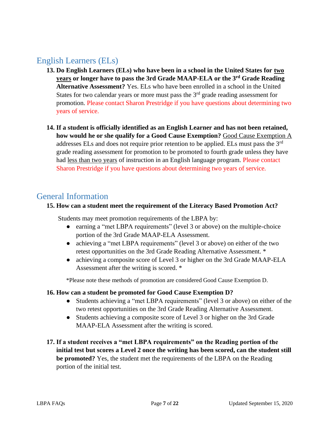### <span id="page-6-0"></span>English Learners (ELs)

- **13. Do English Learners (ELs) who have been in a school in the United States for two years or longer have to pass the 3rd Grade MAAP-ELA or the 3rd Grade Reading Alternative Assessment?** Yes. ELs who have been enrolled in a school in the United States for two calendar years or more must pass the  $3<sup>rd</sup>$  grade reading assessment for promotion. Please contact Sharon Prestridge if you have questions about determining two years of service.
- **14. If a student is officially identified as an English Learner and has not been retained, how would he or she qualify for a Good Cause Exemption?** Good Cause Exemption A addresses ELs and does not require prior retention to be applied. ELs must pass the 3rd grade reading assessment for promotion to be promoted to fourth grade unless they have had less than two years of instruction in an English language program. Please contact Sharon Prestridge if you have questions about determining two years of service.

#### <span id="page-6-1"></span>General Information

#### **15. How can a student meet the requirement of the Literacy Based Promotion Act?**

Students may meet promotion requirements of the LBPA by:

- earning a "met LBPA requirements" (level 3 or above) on the multiple-choice portion of the 3rd Grade MAAP-ELA Assessment.
- achieving a "met LBPA requirements" (level 3 or above) on either of the two retest opportunities on the 3rd Grade Reading Alternative Assessment. \*
- achieving a composite score of Level 3 or higher on the 3rd Grade MAAP-ELA Assessment after the writing is scored. \*

\*Please note these methods of promotion are considered Good Cause Exemption D.

#### **16. How can a student be promoted for Good Cause Exemption D?**

- Students achieving a "met LBPA requirements" (level 3 or above) on either of the two retest opportunities on the 3rd Grade Reading Alternative Assessment.
- Students achieving a composite score of Level 3 or higher on the 3rd Grade MAAP-ELA Assessment after the writing is scored.
- **17. If a student receives a "met LBPA requirements" on the Reading portion of the initial test but scores a Level 2 once the writing has been scored, can the student still be promoted?** Yes, the student met the requirements of the LBPA on the Reading portion of the initial test.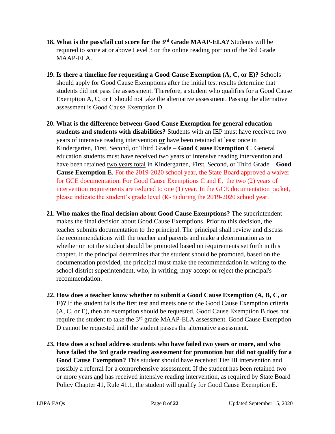- **18. What is the pass/fail cut score for the 3rd Grade MAAP-ELA?** Students will be required to score at or above Level 3 on the online reading portion of the 3rd Grade MAAP-ELA.
- **19. Is there a timeline for requesting a Good Cause Exemption (A, C, or E)?** Schools should apply for Good Cause Exemptions after the initial test results determine that students did not pass the assessment. Therefore, a student who qualifies for a Good Cause Exemption A, C, or E should not take the alternative assessment. Passing the alternative assessment is Good Cause Exemption D.
- **20. What is the difference between Good Cause Exemption for general education students and students with disabilities?** Students with an IEP must have received two years of intensive reading intervention **or** have been retained at least once in Kindergarten, First, Second, or Third Grade – **Good Cause Exemption C**. General education students must have received two years of intensive reading intervention and have been retained two years total in Kindergarten, First, Second, or Third Grade – **Good Cause Exemption E**. For the 2019-2020 school year, the State Board approved a waiver for GCE documentation. For Good Cause Exemptions C and E, the two (2) years of intervention requirements are reduced to one (1) year. In the GCE documentation packet, please indicate the student's grade level (K-3) during the 2019-2020 school year.
- **21. Who makes the final decision about Good Cause Exemptions?** The superintendent makes the final decision about Good Cause Exemptions. Prior to this decision, the teacher submits documentation to the principal. The principal shall review and discuss the recommendations with the teacher and parents and make a determination as to whether or not the student should be promoted based on requirements set forth in this chapter. If the principal determines that the student should be promoted, based on the documentation provided, the principal must make the recommendation in writing to the school district superintendent, who, in writing, may accept or reject the principal's recommendation.
- **22. How does a teacher know whether to submit a Good Cause Exemption (A, B, C, or E)?** If the student fails the first test and meets one of the Good Cause Exemption criteria (A, C, or E), then an exemption should be requested. Good Cause Exemption B does not require the student to take the 3<sup>rd</sup> grade MAAP-ELA assessment. Good Cause Exemption D cannot be requested until the student passes the alternative assessment.
- **23. How does a school address students who have failed two years or more, and who have failed the 3rd grade reading assessment for promotion but did not qualify for a Good Cause Exemption?** This student should have received Tier III intervention and possibly a referral for a comprehensive assessment. If the student has been retained two or more years and has received intensive reading intervention, as required by State Board Policy Chapter 41, Rule 41.1, the student will qualify for Good Cause Exemption E.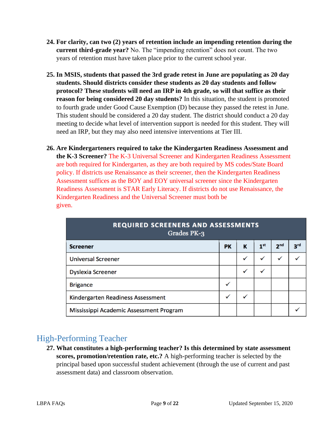- **24. For clarity, can two (2) years of retention include an impending retention during the current third-grade year?** No. The "impending retention" does not count. The two years of retention must have taken place prior to the current school year.
- **25. In MSIS, students that passed the 3rd grade retest in June are populating as 20 day students. Should districts consider these students as 20 day students and follow protocol? These students will need an IRP in 4th grade, so will that suffice as their reason for being considered 20 day students?** In this situation, the student is promoted to fourth grade under Good Cause Exemption (D) because they passed the retest in June. This student should be considered a 20 day student. The district should conduct a 20 day meeting to decide what level of intervention support is needed for this student. They will need an IRP, but they may also need intensive interventions at Tier III.
- **26. Are Kindergarteners required to take the Kindergarten Readiness Assessment and the K-3 Screener?** The K-3 Universal Screener and Kindergarten Readiness Assessment are both required for Kindergarten, as they are both required by MS codes/State Board policy. If districts use Renaissance as their screener, then the Kindergarten Readiness Assessment suffices as the BOY and EOY universal screener since the Kindergarten Readiness Assessment is STAR Early Literacy. If districts do not use Renaissance, the Kindergarten Readiness and the Universal Screener must both be given.

| <b>REQUIRED SCREENERS AND ASSESSMENTS</b><br>Grades PK-3 |              |   |                 |                 |                 |
|----------------------------------------------------------|--------------|---|-----------------|-----------------|-----------------|
| <b>Screener</b>                                          | <b>PK</b>    | К | 1 <sup>st</sup> | 2 <sub>nd</sub> | 3 <sup>rd</sup> |
| <b>Universal Screener</b>                                |              | ✓ | $\checkmark$    | ✓               |                 |
| <b>Dyslexia Screener</b>                                 |              | ✓ | $\checkmark$    |                 |                 |
| <b>Brigance</b>                                          | ✓            |   |                 |                 |                 |
| Kindergarten Readiness Assessment                        | $\checkmark$ | ✓ |                 |                 |                 |
| Mississippi Academic Assessment Program                  |              |   |                 |                 |                 |

### <span id="page-8-0"></span>High-Performing Teacher

**27. What constitutes a high-performing teacher? Is this determined by state assessment scores, promotion/retention rate, etc.?** A high-performing teacher is selected by the principal based upon successful student achievement (through the use of current and past assessment data) and classroom observation.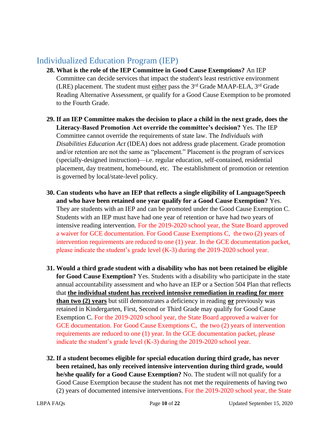### <span id="page-9-0"></span>Individualized Education Program (IEP)

- **28. What is the role of the IEP Committee in Good Cause Exemptions?** An IEP Committee can decide services that impact the student's least restrictive environment (LRE) placement. The student must either pass the  $3<sup>rd</sup>$  Grade MAAP-ELA,  $3<sup>rd</sup>$  Grade Reading Alternative Assessment, or qualify for a Good Cause Exemption to be promoted to the Fourth Grade.
- **29. If an IEP Committee makes the decision to place a child in the next grade, does the Literacy-Based Promotion Act override the committee's decision?** Yes. The IEP Committee cannot override the requirements of state law. The *Individuals with Disabilities Education Act* (IDEA) does not address grade placement. Grade promotion and/or retention are not the same as "placement." Placement is the program of services (specially-designed instruction)—i.e. regular education, self-contained, residential placement, day treatment, homebound, etc. The establishment of promotion or retention is governed by local/state-level policy.
- **30. Can students who have an IEP that reflects a single eligibility of Language/Speech and who have been retained one year qualify for a Good Cause Exemption?** Yes. They are students with an IEP and can be promoted under the Good Cause Exemption C. Students with an IEP must have had one year of retention or have had two years of intensive reading intervention. For the 2019-2020 school year, the State Board approved a waiver for GCE documentation. For Good Cause Exemptions C, the two (2) years of intervention requirements are reduced to one (1) year. In the GCE documentation packet, please indicate the student's grade level (K-3) during the 2019-2020 school year.
- **31. Would a third grade student with a disability who has not been retained be eligible for Good Cause Exemption?** Yes. Students with a disability who participate in the state annual accountability assessment and who have an IEP or a Section 504 Plan that reflects that **the individual student has received intensive remediation in reading for more than two (2) years** but still demonstrates a deficiency in reading **or** previously was retained in Kindergarten, First, Second or Third Grade may qualify for Good Cause Exemption C. For the 2019-2020 school year, the State Board approved a waiver for GCE documentation. For Good Cause Exemptions C, the two (2) years of intervention requirements are reduced to one (1) year. In the GCE documentation packet, please indicate the student's grade level (K-3) during the 2019-2020 school year.
- **32. If a student becomes eligible for special education during third grade, has never been retained, has only received intensive intervention during third grade, would he/she qualify for a Good Cause Exemption?** No. The student will not qualify for a Good Cause Exemption because the student has not met the requirements of having two (2) years of documented intensive interventions. For the 2019-2020 school year, the State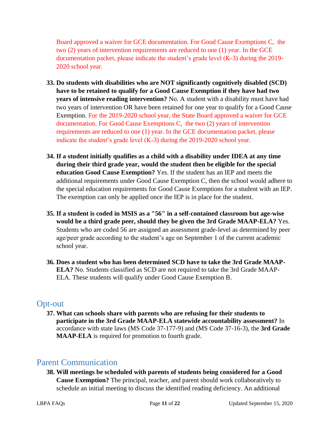Board approved a waiver for GCE documentation. For Good Cause Exemptions C, the two (2) years of intervention requirements are reduced to one (1) year. In the GCE documentation packet, please indicate the student's grade level (K-3) during the 2019- 2020 school year.

- **33. Do students with disabilities who are NOT significantly cognitively disabled (SCD) have to be retained to qualify for a Good Cause Exemption if they have had two years of intensive reading intervention?** No. A student with a disability must have had two years of intervention OR have been retained for one year to qualify for a Good Cause Exemption. For the 2019-2020 school year, the State Board approved a waiver for GCE documentation. For Good Cause Exemptions C, the two (2) years of intervention requirements are reduced to one (1) year. In the GCE documentation packet, please indicate the student's grade level (K-3) during the 2019-2020 school year.
- **34. If a student initially qualifies as a child with a disability under IDEA at any time during their third grade year, would the student then be eligible for the special education Good Cause Exemption?** Yes. If the student has an IEP and meets the additional requirements under Good Cause Exemption C, then the school would adhere to the special education requirements for Good Cause Exemptions for a student with an IEP. The exemption can only be applied once the IEP is in place for the student.
- **35. If a student is coded in MSIS as a "56" in a self-contained classroom but age-wise would be a third grade peer, should they be given the 3rd Grade MAAP-ELA?** Yes. Students who are coded 56 are assigned an assessment grade-level as determined by peer age/peer grade according to the student's age on September 1 of the current academic school year.
- **36. Does a student who has been determined SCD have to take the 3rd Grade MAAP-ELA?** No. Students classified as SCD are not required to take the 3rd Grade MAAP-ELA. These students will qualify under Good Cause Exemption B.

#### <span id="page-10-0"></span>Opt-out

**37. What can schools share with parents who are refusing for their students to participate in the 3rd Grade MAAP-ELA statewide accountability assessment?** In accordance with state laws (MS Code 37-177-9) and (MS Code 37-16-3), the **3rd Grade MAAP-ELA** is required for promotion to fourth grade.

#### <span id="page-10-1"></span>Parent Communication

**38. Will meetings be scheduled with parents of students being considered for a Good Cause Exemption?** The principal, teacher, and parent should work collaboratively to schedule an initial meeting to discuss the identified reading deficiency. An additional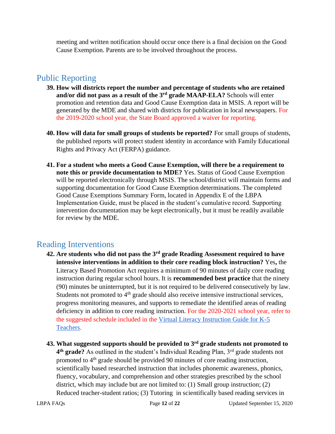meeting and written notification should occur once there is a final decision on the Good Cause Exemption. Parents are to be involved throughout the process.

### <span id="page-11-0"></span>Public Reporting

- **39. How will districts report the number and percentage of students who are retained and/or did not pass as a result of the 3rd grade MAAP-ELA?** Schools will enter promotion and retention data and Good Cause Exemption data in MSIS. A report will be generated by the MDE and shared with districts for publication in local newspapers. For the 2019-2020 school year, the State Board approved a waiver for reporting.
- **40. How will data for small groups of students be reported?** For small groups of students, the published reports will protect student identity in accordance with Family Educational Rights and Privacy Act (FERPA) guidance.
- **41. For a student who meets a Good Cause Exemption, will there be a requirement to note this or provide documentation to MDE?** Yes. Status of Good Cause Exemption will be reported electronically through MSIS. The school/district will maintain forms and supporting documentation for Good Cause Exemption determinations. The completed Good Cause Exemptions Summary Form, located in Appendix E of the LBPA Implementation Guide, must be placed in the student's cumulative record. Supporting intervention documentation may be kept electronically, but it must be readily available for review by the MDE.

### <span id="page-11-1"></span>Reading Interventions

- **42. Are students who did not pass the 3rd grade Reading Assessment required to have intensive interventions in addition to their core reading block instruction?** Yes**,** the Literacy Based Promotion Act requires a minimum of 90 minutes of daily core reading instruction during regular school hours. It is **recommended best practice** that the ninety (90) minutes be uninterrupted, but it is not required to be delivered consecutively by law. Students not promoted to 4<sup>th</sup> grade should also receive intensive instructional services, progress monitoring measures, and supports to remediate the identified areas of reading deficiency in addition to core reading instruction. For the 2020-2021 school year, refer to the suggested schedule included in the [Virtual Literacy Instruction Guide for K-5](https://www.mdek12.org/sites/default/files/Offices/MDE/OAE/OEER/Literacy/virtual_literacy_instruction_guide_for_k-5_teachers.pdf)  [Teachers.](https://www.mdek12.org/sites/default/files/Offices/MDE/OAE/OEER/Literacy/virtual_literacy_instruction_guide_for_k-5_teachers.pdf)
- **43. What suggested supports should be provided to 3rd grade students not promoted to**  4<sup>th</sup> grade? As outlined in the student's Individual Reading Plan, 3<sup>rd</sup> grade students not promoted to 4<sup>th</sup> grade should be provided 90 minutes of core reading instruction, scientifically based researched instruction that includes phonemic awareness, phonics, fluency, vocabulary, and comprehension and other strategies prescribed by the school district, which may include but are not limited to: (1) Small group instruction; (2) Reduced teacher-student ratios; (3) Tutoring in scientifically based reading services in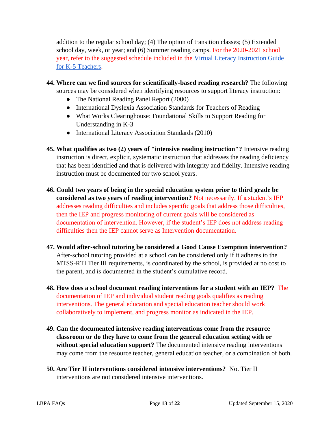addition to the regular school day; (4) The option of transition classes; (5) Extended school day, week, or year; and (6) Summer reading camps. For the 2020-2021 school year, refer to the suggested schedule included in the [Virtual Literacy Instruction Guide](https://www.mdek12.org/sites/default/files/Offices/MDE/OAE/OEER/Literacy/virtual_literacy_instruction_guide_for_k-5_teachers.pdf)  [for K-5 Teachers.](https://www.mdek12.org/sites/default/files/Offices/MDE/OAE/OEER/Literacy/virtual_literacy_instruction_guide_for_k-5_teachers.pdf)

- **44. Where can we find sources for scientifically-based reading research?** The following sources may be considered when identifying resources to support literacy instruction:
	- The National Reading Panel Report (2000)
	- International Dyslexia Association Standards for Teachers of Reading
	- What Works Clearinghouse: Foundational Skills to Support Reading for Understanding in K-3
	- International Literacy Association Standards (2010)
- **45. What qualifies as two (2) years of "intensive reading instruction"?** Intensive reading instruction is direct, explicit, systematic instruction that addresses the reading deficiency that has been identified and that is delivered with integrity and fidelity. Intensive reading instruction must be documented for two school years.
- **46. Could two years of being in the special education system prior to third grade be considered as two years of reading intervention?** Not necessarily. If a student's IEP addresses reading difficulties and includes specific goals that address those difficulties, then the IEP and progress monitoring of current goals will be considered as documentation of intervention. However, if the student's IEP does not address reading difficulties then the IEP cannot serve as Intervention documentation.
- **47. Would after-school tutoring be considered a Good Cause Exemption intervention?**  After-school tutoring provided at a school can be considered only if it adheres to the MTSS-RTI Tier III requirements, is coordinated by the school, is provided at no cost to the parent, and is documented in the student's cumulative record.
- **48. How does a school document reading interventions for a student with an IEP?** The documentation of IEP and individual student reading goals qualifies as reading interventions. The general education and special education teacher should work collaboratively to implement, and progress monitor as indicated in the IEP.
- **49. Can the documented intensive reading interventions come from the resource classroom or do they have to come from the general education setting with or without special education support?** The documented intensive reading interventions may come from the resource teacher, general education teacher, or a combination of both.
- **50. Are Tier II interventions considered intensive interventions?** No. Tier II interventions are not considered intensive interventions.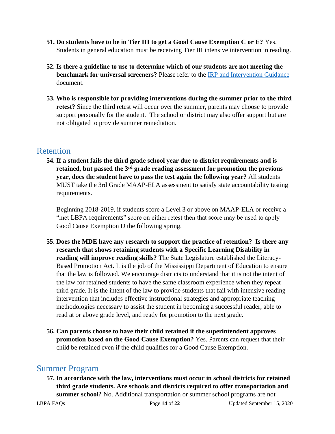- **51. Do students have to be in Tier III to get a Good Cause Exemption C or E?** Yes. Students in general education must be receiving Tier III intensive intervention in reading.
- **52. Is there a guideline to use to determine which of our students are not meeting the benchmark for universal screeners?** Please refer to the [IRP and Intervention Guidance](https://www.mdek12.org/sites/default/files/Offices/MDE/OA/OSA/Screeners_IRP%20and%20Intervention%20Guidance.pdf) document.
- **53. Who is responsible for providing interventions during the summer prior to the third retest?** Since the third retest will occur over the summer, parents may choose to provide support personally for the student. The school or district may also offer support but are not obligated to provide summer remediation.

#### <span id="page-13-0"></span>**Retention**

**54. If a student fails the third grade school year due to district requirements and is retained, but passed the 3rd grade reading assessment for promotion the previous year, does the student have to pass the test again the following year?** All students MUST take the 3rd Grade MAAP-ELA assessment to satisfy state accountability testing requirements.

Beginning 2018-2019, if students score a Level 3 or above on MAAP-ELA or receive a "met LBPA requirements" score on either retest then that score may be used to apply Good Cause Exemption D the following spring.

- **55. Does the MDE have any research to support the practice of retention? Is there any research that shows retaining students with a Specific Learning Disability in reading will improve reading skills?** The State Legislature established the Literacy-Based Promotion Act. It is the job of the Mississippi Department of Education to ensure that the law is followed. We encourage districts to understand that it is not the intent of the law for retained students to have the same classroom experience when they repeat third grade. It is the intent of the law to provide students that fail with intensive reading intervention that includes effective instructional strategies and appropriate teaching methodologies necessary to assist the student in becoming a successful reader, able to read at or above grade level, and ready for promotion to the next grade.
- **56. Can parents choose to have their child retained if the superintendent approves promotion based on the Good Cause Exemption?** Yes. Parents can request that their child be retained even if the child qualifies for a Good Cause Exemption.

### <span id="page-13-1"></span>Summer Program

**57. In accordance with the law, interventions must occur in school districts for retained third grade students. Are schools and districts required to offer transportation and summer school?** No. Additional transportation or summer school programs are not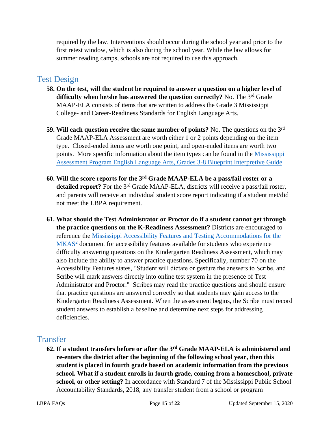required by the law. Interventions should occur during the school year and prior to the first retest window, which is also during the school year. While the law allows for summer reading camps, schools are not required to use this approach.

#### <span id="page-14-0"></span>Test Design

- **58. On the test, will the student be required to answer a question on a higher level of difficulty when he/she has answered the question correctly?** No. The 3rd Grade MAAP-ELA consists of items that are written to address the Grade 3 Mississippi College- and Career-Readiness Standards for English Language Arts.
- **59. Will each question receive the same number of points?** No. The questions on the 3rd Grade MAAP-ELA Assessment are worth either 1 or 2 points depending on the item type. Closed-ended items are worth one point, and open-ended items are worth two points. More specific information about the item types can be found in the [Mississippi](https://districtaccess.mde.k12.ms.us/studentassessment/Public%20Access/Statewide_Assessment_Programs/MAAP-Mississippi%20Academic%20Assessment%20Program/MAP-Blueprints-Interpretive-Guides/MAP%20ELA%203-8%20Blueprint%20Interpretive%20Guide%209.22.16.pdf)  Assessment [Program English Language Arts, Grades 3-8 Blueprint Interpretive Guide.](https://districtaccess.mde.k12.ms.us/studentassessment/Public%20Access/Statewide_Assessment_Programs/MAAP-Mississippi%20Academic%20Assessment%20Program/MAP-Blueprints-Interpretive-Guides/MAP%20ELA%203-8%20Blueprint%20Interpretive%20Guide%209.22.16.pdf)
- **60. Will the score reports for the 3rd Grade MAAP-ELA be a pass/fail roster or a detailed report?** For the 3rd Grade MAAP-ELA, districts will receive a pass/fail roster, and parents will receive an individual student score report indicating if a student met/did not meet the LBPA requirement.
- **61. What should the Test Administrator or Proctor do if a student cannot get through the practice questions on the K-Readiness Assessment?** Districts are encouraged to reference the [Mississippi Accessibility Features and Testing Accommodations for the](https://districtaccess.mde.k12.ms.us/studentassessment/Public%20Access/Statewide_Assessment_Programs/-MKAS2/MKAS2-Accommodations-Manual/MKAS2-Accessibility-Features-and-Testing-Accommodations-February-2015.pdf)  [MKAS](https://districtaccess.mde.k12.ms.us/studentassessment/Public%20Access/Statewide_Assessment_Programs/-MKAS2/MKAS2-Accommodations-Manual/MKAS2-Accessibility-Features-and-Testing-Accommodations-February-2015.pdf)<sup>2</sup> document for accessibility features available for students who experience difficulty answering questions on the Kindergarten Readiness Assessment, which may also include the ability to answer practice questions. Specifically, number 70 on the Accessibility Features states, "Student will dictate or gesture the answers to Scribe, and Scribe will mark answers directly into online test system in the presence of Test Administrator and Proctor." Scribes may read the practice questions and should ensure that practice questions are answered correctly so that students may gain access to the Kindergarten Readiness Assessment. When the assessment begins, the Scribe must record student answers to establish a baseline and determine next steps for addressing deficiencies.

### <span id="page-14-1"></span>Transfer

**62. If a student transfers before or after the 3rd Grade MAAP-ELA is administered and re-enters the district after the beginning of the following school year, then this student is placed in fourth grade based on academic information from the previous school. What if a student enrolls in fourth grade, coming from a homeschool, private school, or other setting?** In accordance with Standard 7 of the Mississippi Public School Accountability Standards, 2018, any transfer student from a school or program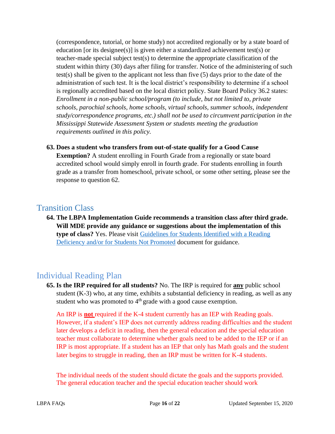(correspondence, tutorial, or home study) not accredited regionally or by a state board of education [or its designee(s)] is given either a standardized achievement test(s) or teacher-made special subject test( $s$ ) to determine the appropriate classification of the student within thirty (30) days after filing for transfer. Notice of the administering of such test(s) shall be given to the applicant not less than five (5) days prior to the date of the administration of such test. It is the local district's responsibility to determine if a school is regionally accredited based on the local district policy. State Board Policy 36.2 states: *Enrollment in a non-public school/program (to include, but not limited to, private schools, parochial schools, home schools, virtual schools, summer schools, independent study/correspondence programs, etc.) shall not be used to circumvent participation in the Mississippi Statewide Assessment System or students meeting the graduation requirements outlined in this policy.*

**63. Does a student who transfers from out-of-state qualify for a Good Cause Exemption?** A student enrolling in Fourth Grade from a regionally or state board accredited school would simply enroll in fourth grade. For students enrolling in fourth grade as a transfer from homeschool, private school, or some other setting, please see the response to question 62.

#### <span id="page-15-0"></span>Transition Class

**64. The LBPA Implementation Guide recommends a transition class after third grade. Will MDE provide any guidance or suggestions about the implementation of this type of class?** Yes. Please visit [Guidelines for Students Identified with a Reading](https://www.mdek12.org/sites/default/files/documents/OAE/Literacy/ResourcesForAdmin/guidelines-for-transition-and-intensive-acceleration-classes_20170406162650_536208.pdf)  [Deficiency and/or for Students Not Promoted](https://www.mdek12.org/sites/default/files/documents/OAE/Literacy/ResourcesForAdmin/guidelines-for-transition-and-intensive-acceleration-classes_20170406162650_536208.pdf) document for guidance.

### <span id="page-15-1"></span>Individual Reading Plan

**65. Is the IRP required for all students?** No. The IRP is required for **any** public school student  $(K-3)$  who, at any time, exhibits a substantial deficiency in reading, as well as any student who was promoted to 4<sup>th</sup> grade with a good cause exemption.

An IRP is **not** required if the K-4 student currently has an IEP with Reading goals. However, if a student's IEP does not currently address reading difficulties and the student later develops a deficit in reading, then the general education and the special education teacher must collaborate to determine whether goals need to be added to the IEP or if an IRP is most appropriate. If a student has an IEP that only has Math goals and the student later begins to struggle in reading, then an IRP must be written for K-4 students.

The individual needs of the student should dictate the goals and the supports provided. The general education teacher and the special education teacher should work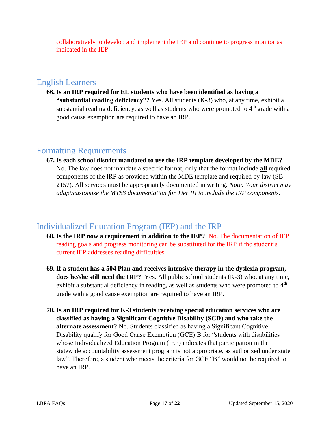collaboratively to develop and implement the IEP and continue to progress monitor as indicated in the IEP.

#### <span id="page-16-0"></span>English Learners

**66. Is an IRP required for EL students who have been identified as having a "substantial reading deficiency"?** Yes. All students (K-3) who, at any time, exhibit a substantial reading deficiency, as well as students who were promoted to  $4<sup>th</sup>$  grade with a good cause exemption are required to have an IRP.

### <span id="page-16-1"></span>Formatting Requirements

**67. Is each school district mandated to use the IRP template developed by the MDE?**  No. The law does not mandate a specific format, only that the format include **all** required components of the IRP as provided within the MDE template and required by law (SB 2157). All services must be appropriately documented in writing. *Note: Your district may adapt/customize the MTSS documentation for Tier III to include the IRP components.*

#### <span id="page-16-2"></span>Individualized Education Program (IEP) and the IRP

- **68. Is the IRP now a requirement in addition to the IEP?** No. The documentation of IEP reading goals and progress monitoring can be substituted for the IRP if the student's current IEP addresses reading difficulties.
- **69. If a student has a 504 Plan and receives intensive therapy in the dyslexia program, does he/she still need the IRP?** Yes. All public school students (K-3) who, at any time, exhibit a substantial deficiency in reading, as well as students who were promoted to  $4<sup>th</sup>$ grade with a good cause exemption are required to have an IRP.
- **70. Is an IRP required for K-3 students receiving special education services who are classified as having a Significant Cognitive Disability (SCD) and who take the alternate assessment?** No. Students classified as having a Significant Cognitive Disability qualify for Good Cause Exemption (GCE) B for "students with disabilities whose Individualized Education Program (IEP) indicates that participation in the statewide accountability assessment program is not appropriate, as authorized under state law". Therefore, a student who meets the criteria for GCE "B" would not be required to have an IRP.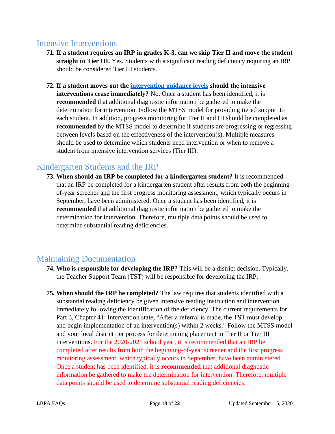#### <span id="page-17-0"></span>Intensive Interventions

- **71. If a student requires an IRP in grades K-3, can we skip Tier II and move the student straight to Tier III.** Yes. Students with a significant reading deficiency requiring an IRP should be considered Tier III students.
- **72. If a student moves out the [intervention guidance levels](https://www.mdek12.org/sites/default/files/Offices/MDE/OA/OSA/Screeners_IRP%20and%20Intervention%20Guidance.pdf) should the intensive interventions cease immediately?** No. Once a student has been identified, it is **recommended** that additional diagnostic information be gathered to make the determination for intervention. Follow the MTSS model for providing tiered support to each student. In addition, progress monitoring for Tier II and III should be completed as **recommended** by the MTSS model to determine if students are progressing or regressing between levels based on the effectiveness of the intervention(s). Multiple measures should be used to determine which students need intervention or when to remove a student from intensive intervention services (Tier III).

## Kindergarten Students and the IRP

<span id="page-17-1"></span>**73. When should an IRP be completed for a kindergarten student?** It is recommended that an IRP be completed for a kindergarten student after results from both the beginningof-year screener and the first progress monitoring assessment, which typically occurs in September, have been administered. Once a student has been identified, it is **recommended** that additional diagnostic information be gathered to make the determination for intervention. Therefore, multiple data points should be used to determine substantial reading deficiencies.

## <span id="page-17-2"></span>Maintaining Documentation

- **74. Who is responsible for developing the IRP?** This will be a district decision. Typically, the Teacher Support Team (TST) will be responsible for developing the IRP.
- **75. When should the IRP be completed?** The law requires that students identified with a substantial reading deficiency be given intensive reading instruction and intervention immediately following the identification of the deficiency. The current requirements for Part 3, Chapter 41: Intervention state, "After a referral is made, the TST must develop and begin implementation of an intervention(s) within 2 weeks." Follow the MTSS model and your local district tier process for determining placement in Tier II or Tier III interventions. For the 2020-2021 school year, it is recommended that an IRP be completed after results from both the beginning-of-year screener and the first progress monitoring assessment, which typically occurs in September, have been administered. Once a student has been identified, it is **recommended** that additional diagnostic information be gathered to make the determination for intervention. Therefore, multiple data points should be used to determine substantial reading deficiencies.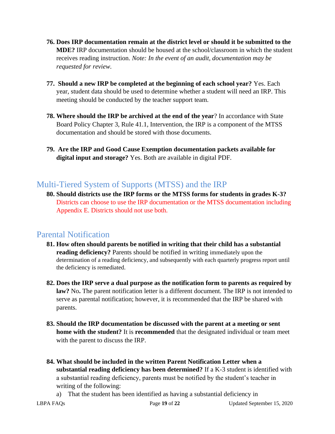- **76. Does IRP documentation remain at the district level or should it be submitted to the MDE?** IRP documentation should be housed at the school/classroom in which the student receives reading instruction. *Note: In the event of an audit, documentation may be requested for review.*
- **77. Should a new IRP be completed at the beginning of each school year?** Yes. Each year, student data should be used to determine whether a student will need an IRP. This meeting should be conducted by the teacher support team.
- **78. Where should the IRP be archived at the end of the year**? In accordance with State Board Policy Chapter 3, Rule 41.1, Intervention, the IRP is a component of the MTSS documentation and should be stored with those documents.
- **79. Are the IRP and Good Cause Exemption documentation packets available for digital input and storage?** Yes. Both are available in digital PDF.

### <span id="page-18-0"></span>Multi-Tiered System of Supports (MTSS) and the IRP

**80. Should districts use the IRP forms or the MTSS forms for students in grades K-3?**  Districts can choose to use the IRP documentation or the MTSS documentation including Appendix E. Districts should not use both.

### <span id="page-18-1"></span>Parental Notification

- **81. How often should parents be notified in writing that their child has a substantial reading deficiency?** Parents should be notified in writing immediately upon the determination of a reading deficiency, and subsequently with each quarterly progress report until the deficiency is remediated.
- **82. Does the IRP serve a dual purpose as the notification form to parents as required by**  law? No. The parent notification letter is a different document. The IRP is not intended to serve as parental notification; however, it is recommended that the IRP be shared with parents.
- **83. Should the IRP documentation be discussed with the parent at a meeting or sent home with the student?** It is **recommended** that the designated individual or team meet with the parent to discuss the IRP.
- **84. What should be included in the written Parent Notification Letter when a substantial reading deficiency has been determined?** If a K-3 student is identified with a substantial reading deficiency, parents must be notified by the student's teacher in writing of the following:
	- a) That the student has been identified as having a substantial deficiency in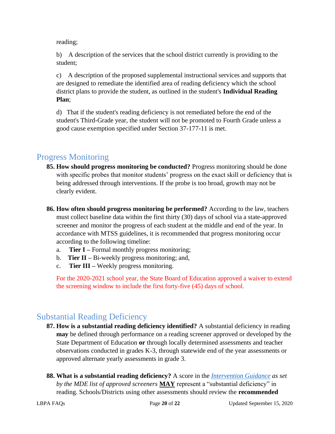reading;

b) A description of the services that the school district currently is providing to the student;

c) A description of the proposed supplemental instructional services and supports that are designed to remediate the identified area of reading deficiency which the school district plans to provide the student, as outlined in the student's **Individual Reading Plan**;

d) That if the student's reading deficiency is not remediated before the end of the student's Third-Grade year, the student will not be promoted to Fourth Grade unless a good cause exemption specified under Section 37-177-11 is met.

### <span id="page-19-0"></span>Progress Monitoring

- **85. How should progress monitoring be conducted?** Progress monitoring should be done with specific probes that monitor students' progress on the exact skill or deficiency that is being addressed through interventions. If the probe is too broad, growth may not be clearly evident.
- **86. How often should progress monitoring be performed?** According to the law, teachers must collect baseline data within the first thirty (30) days of school via a state-approved screener and monitor the progress of each student at the middle and end of the year. In accordance with MTSS guidelines, it is recommended that progress monitoring occur according to the following timeline:
	- a. **Tier I –** Formal monthly progress monitoring;
	- b. **Tier II –** Bi-weekly progress monitoring; and,
	- c. **Tier III –** Weekly progress monitoring.

For the 2020-2021 school year, the State Board of Education approved a waiver to extend the screening window to include the first forty-five (45) days of school.

### <span id="page-19-1"></span>Substantial Reading Deficiency

- **87. How is a substantial reading deficiency identified?** A substantial deficiency in reading **may** be defined through performance on a reading screener approved or developed by the State Department of Education **or** through locally determined assessments and teacher observations conducted in grades K-3, through statewide end of the year assessments or approved alternate yearly assessments in grade 3.
- **88. What is a substantial reading deficiency?** A score in the *[Intervention Guidance](https://www.mdek12.org/sites/default/files/Offices/MDE/OA/OSA/Screeners_IRP%20and%20Intervention%20Guidance.pdf) as set by the MDE list of approved screeners* **MAY** represent a "substantial deficiency" in reading. Schools/Districts using other assessments should review the **recommended**